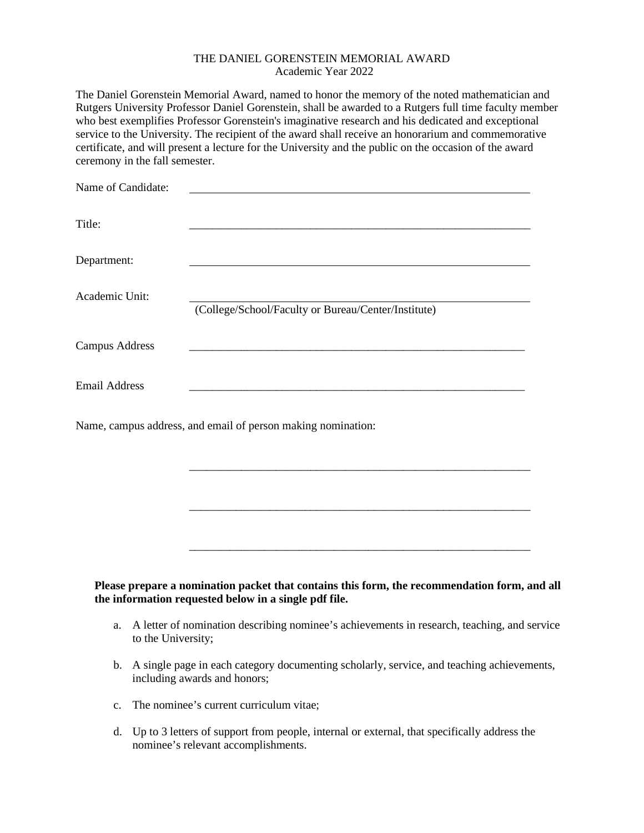## THE DANIEL GORENSTEIN MEMORIAL AWARD Academic Year 2022

The Daniel Gorenstein Memorial Award, named to honor the memory of the noted mathematician and Rutgers University Professor Daniel Gorenstein, shall be awarded to a Rutgers full time faculty member who best exemplifies Professor Gorenstein's imaginative research and his dedicated and exceptional service to the University. The recipient of the award shall receive an honorarium and commemorative certificate, and will present a lecture for the University and the public on the occasion of the award ceremony in the fall semester.

| Name of Candidate:    |                                                                                                                     |
|-----------------------|---------------------------------------------------------------------------------------------------------------------|
| Title:                |                                                                                                                     |
| Department:           |                                                                                                                     |
| Academic Unit:        | (College/School/Faculty or Bureau/Center/Institute)                                                                 |
| <b>Campus Address</b> |                                                                                                                     |
| <b>Email Address</b>  | <u> 1980 - Jan Barbara, martin da basar da basar da basar da basar da basar da basar da basar da basar da basar</u> |
|                       | Name, campus address, and email of person making nomination:                                                        |
|                       |                                                                                                                     |
|                       |                                                                                                                     |
|                       |                                                                                                                     |

**Please prepare a nomination packet that contains this form, the recommendation form, and all the information requested below in a single pdf file.** 

a. A letter of nomination describing nominee's achievements in research, teaching, and service to the University;

\_\_\_\_\_\_\_\_\_\_\_\_\_\_\_\_\_\_\_\_\_\_\_\_\_\_\_\_\_\_\_\_\_\_\_\_\_\_\_\_\_\_\_\_\_\_\_\_\_\_\_\_\_\_\_\_\_\_\_

- b. A single page in each category documenting scholarly, service, and teaching achievements, including awards and honors;
- c. The nominee's current curriculum vitae;
- d. Up to 3 letters of support from people, internal or external, that specifically address the nominee's relevant accomplishments.